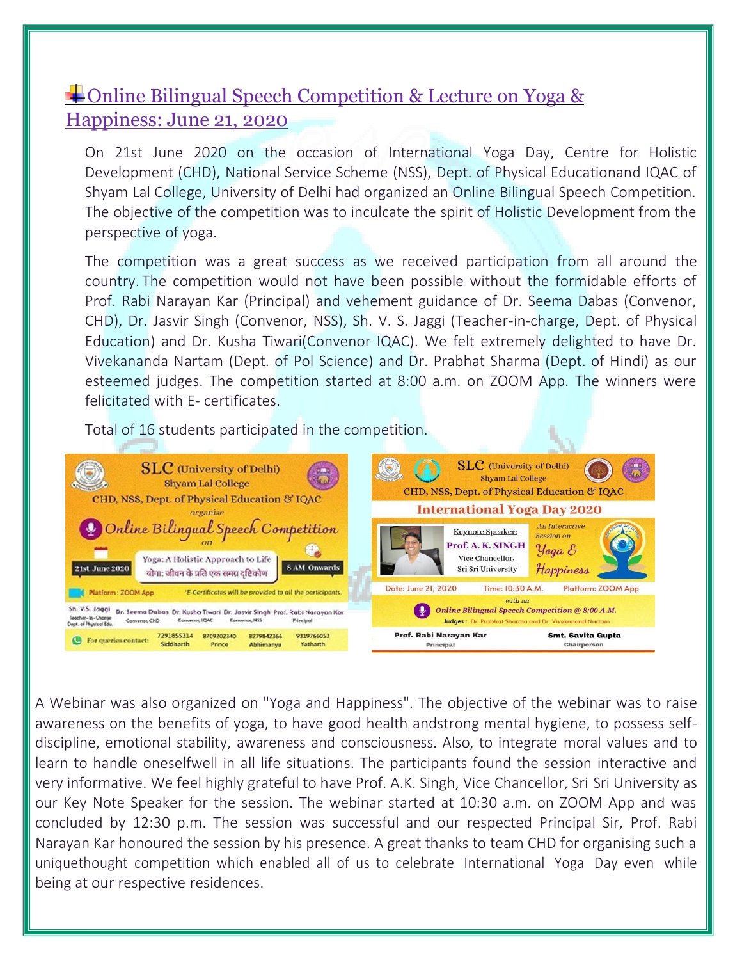## Online Bilingual Speech Competition & Lecture on Yoga & Happiness: June 21, 2020

On 21st June 2020 on the occasion of International Yoga Day, Centre for Holistic Development (CHD), National Service Scheme (NSS), Dept. of Physical Educationand IQAC of Shyam Lal College, University of Delhi had organized an Online Bilingual Speech Competition. The objective of the competition was to inculcate the spirit of Holistic Development from the perspective of yoga.

The competition was a great success as we received participation from all around the country. The competition would not have been possible without the formidable efforts of Prof. Rabi Narayan Kar (Principal) and vehement guidance of Dr. Seema Dabas (Convenor, CHD), Dr. Jasvir Singh (Convenor, NSS), Sh. V. S. Jaggi (Teacher-in-charge, Dept. of Physical Education) and Dr. Kusha Tiwari(Convenor IQAC). We felt extremely delighted to have Dr. Vivekananda Nartam (Dept. of Pol Science) and Dr. Prabhat Sharma (Dept. of Hindi) as our esteemed judges. The competition started at 8:00 a.m. on ZOOM App. The winners were felicitated with E- certificates.

Total of 16 students participated in the competition.



A Webinar was also organized on "Yoga and Happiness". The objective of the webinar was to raise awareness on the benefits of yoga, to have good health andstrong mental hygiene, to possess selfdiscipline, emotional stability, awareness and consciousness. Also, to integrate moral values and to learn to handle oneselfwell in all life situations. The participants found the session interactive and very informative. We feel highly grateful to have Prof. A.K. Singh, Vice Chancellor, Sri Sri University as our Key Note Speaker for the session. The webinar started at 10:30 a.m. on ZOOM App and was concluded by 12:30 p.m. The session was successful and our respected Principal Sir, Prof. Rabi Narayan Kar honoured the session by his presence. A great thanks to team CHD for organising such a uniquethought competition which enabled all of us to celebrate International Yoga Day even while being at our respective residences.